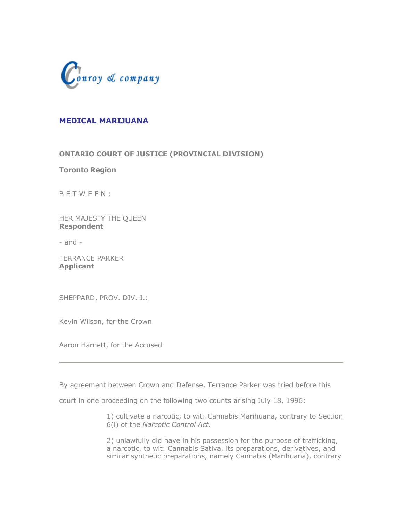

# **MEDICAL MARIJUANA**

**ONTARIO COURT OF JUSTICE (PROVINCIAL DIVISION)**

**Toronto Region**

B E T W E E N :

HER MAJESTY THE QUEEN **Respondent**

- and -

TERRANCE PARKER **Applicant**

SHEPPARD, PROV. DIV. J.:

Kevin Wilson, for the Crown

Aaron Harnett, for the Accused

By agreement between Crown and Defense, Terrance Parker was tried before this

court in one proceeding on the following two counts arising July 18, 1996:

1) cultivate a narcotic, to wit: Cannabis Marihuana, contrary to Section 6(l) of the *Narcotic Control Act*.

2) unlawfully did have in his possession for the purpose of trafficking, a narcotic, to wit: Cannabis Sativa, its preparations, derivatives, and similar synthetic preparations, namely Cannabis (Marihuana), contrary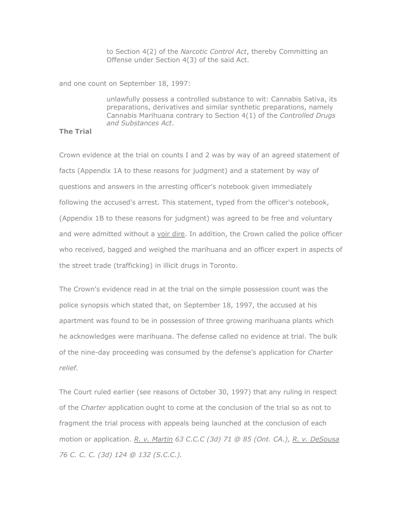to Section 4(2) of the *Narcotic Control Act*, thereby Committing an Offense under Section 4(3) of the said Act.

and one count on September 18, 1997:

unlawfully possess a controlled substance to wit: Cannabis Sativa, its preparations, derivatives and similar synthetic preparations, namely Cannabis Marihuana contrary to Section 4(1) of the *Controlled Drugs and Substances Act*.

## **The Trial**

Crown evidence at the trial on counts I and 2 was by way of an agreed statement of facts (Appendix 1A to these reasons for judgment) and a statement by way of questions and answers in the arresting officer's notebook given immediately following the accused's arrest. This statement, typed from the officer's notebook, (Appendix 1B to these reasons for judgment) was agreed to be free and voluntary and were admitted without a voir dire. In addition, the Crown called the police officer who received, bagged and weighed the marihuana and an officer expert in aspects of the street trade (trafficking) in illicit drugs in Toronto.

The Crown's evidence read in at the trial on the simple possession count was the police synopsis which stated that, on September 18, 1997, the accused at his apartment was found to be in possession of three growing marihuana plants which he acknowledges were marihuana. The defense called no evidence at trial. The bulk of the nine-day proceeding was consumed by the defense's application for *Charter relief.*

The Court ruled earlier (see reasons of October 30, 1997) that any ruling in respect of the *Charter* application ought to come at the conclusion of the trial so as not to fragment the trial process with appeals being launched at the conclusion of each motion or application. *R. v. Martin 63 C.C.C (3d) 71 @ 85 (Ont. CA.), R. v. DeSousa 76 C. C. C. (3d) 124 @ 132 (S.C.C.).*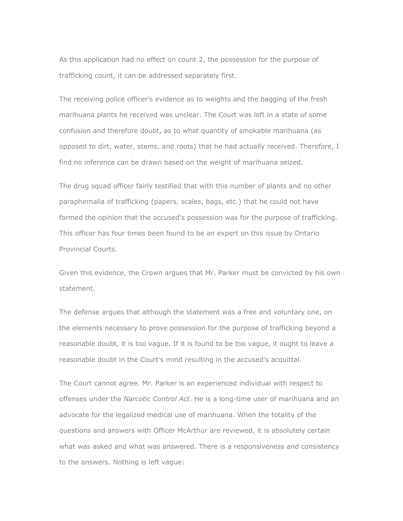As this application had no effect on count 2, the possession for the purpose of trafficking count, it can be addressed separately first.

The receiving police officer's evidence as to weights and the bagging of the fresh marihuana plants he received was unclear. The Court was left in a state of some confusion and therefore doubt, as to what quantity of smokable marihuana (as opposed to dirt, water, stems, and roots) that he had actually received. Therefore, I find no inference can be drawn based on the weight of marihuana seized.

The drug squad officer fairly testified that with this number of plants and no other paraphernalia of trafficking (papers, scales, bags, etc.) that he could not have formed the opinion that the accused's possession was for the purpose of trafficking. This officer has four times been found to be an expert on this issue by Ontario Provincial Courts.

Given this evidence, the Crown argues that Mr. Parker must be convicted by his own statement.

The defense argues that although the statement was a free and voluntary one, on the elements necessary to prove possession for the purpose of trafficking beyond a reasonable doubt, it is too vague. If it is found to be too vague, it ought to leave a reasonable doubt in the Court's mind resulting in the accused's acquittal.

The Court cannot agree. Mr. Parker is an experienced individual with respect to offenses under the *Narcotic Control Act*. He is a long-time user of marihuana and an advocate for the legalized medical use of marihuana. When the totality of the questions and answers with Officer McArthur are reviewed, it is absolutely certain what was asked and what was answered. There is a responsiveness and consistency to the answers. Nothing is left vague: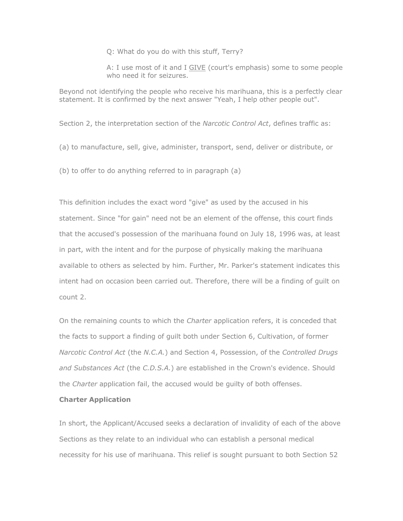Q: What do you do with this stuff, Terry?

A: I use most of it and I GIVE (court's emphasis) some to some people who need it for seizures.

Beyond not identifying the people who receive his marihuana, this is a perfectly clear statement. It is confirmed by the next answer "Yeah, I help other people out".

Section 2, the interpretation section of the *Narcotic Control Act*, defines traffic as:

(a) to manufacture, sell, give, administer, transport, send, deliver or distribute, or

(b) to offer to do anything referred to in paragraph (a)

This definition includes the exact word "give" as used by the accused in his statement. Since "for gain" need not be an element of the offense, this court finds that the accused's possession of the marihuana found on July 18, 1996 was, at least in part, with the intent and for the purpose of physically making the marihuana available to others as selected by him. Further, Mr. Parker's statement indicates this intent had on occasion been carried out. Therefore, there will be a finding of guilt on count 2.

On the remaining counts to which the *Charter* application refers, it is conceded that the facts to support a finding of guilt both under Section 6, Cultivation, of former *Narcotic Control Act* (the *N.C.A.*) and Section 4, Possession, of the *Controlled Drugs and Substances Act* (the *C.D.S.A.*) are established in the Crown's evidence. Should the *Charter* application fail, the accused would be guilty of both offenses.

#### **Charter Application**

In short, the Applicant/Accused seeks a declaration of invalidity of each of the above Sections as they relate to an individual who can establish a personal medical necessity for his use of marihuana. This relief is sought pursuant to both Section 52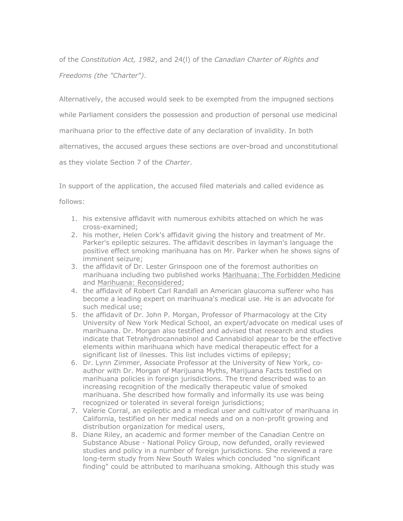of the *Constitution Act, 1982*, and 24(l) of the *Canadian Charter of Rights and Freedoms (the "Charter")*.

Alternatively, the accused would seek to be exempted from the impugned sections

while Parliament considers the possession and production of personal use medicinal

marihuana prior to the effective date of any declaration of invalidity. In both

alternatives, the accused argues these sections are over-broad and unconstitutional

as they violate Section 7 of the *Charter*.

In support of the application, the accused filed materials and called evidence as

follows:

- 1. his extensive affidavit with numerous exhibits attached on which he was cross-examined;
- 2. his mother, Helen Cork's affidavit giving the history and treatment of Mr. Parker's epileptic seizures. The affidavit describes in layman's language the positive effect smoking marihuana has on Mr. Parker when he shows signs of imminent seizure;
- 3. the affidavit of Dr. Lester Grinspoon one of the foremost authorities on marihuana including two published works Marihuana: The Forbidden Medicine and Marihuana: Reconsidered;
- 4. the affidavit of Robert Carl Randall an American glaucoma sufferer who has become a leading expert on marihuana's medical use. He is an advocate for such medical use;
- 5. the affidavit of Dr. John P. Morgan, Professor of Pharmacology at the City University of New York Medical School, an expert/advocate on medical uses of marihuana. Dr. Morgan also testified and advised that research and studies indicate that Tetrahydrocannabinol and Cannabidiol appear to be the effective elements within marihuana which have medical therapeutic effect for a significant list of ilnesses. This list includes victims of epilepsy;
- 6. Dr. Lynn Zimmer, Associate Professor at the University of New York, coauthor with Dr. Morgan of Marijuana Myths, Marijuana Facts testified on marihuana policies in foreign jurisdictions. The trend described was to an increasing recognition of the medically therapeutic value of smoked marihuana. She described how formally and informally its use was being recognized or tolerated in several foreign jurisdictions;
- 7. Valerie Corral, an epileptic and a medical user and cultivator of marihuana in California, testified on her medical needs and on a non-profit growing and distribution organization for medical users,
- 8. Diane Riley, an academic and former member of the Canadian Centre on Substance Abuse - National Policy Group, now defunded, orally reviewed studies and policy in a number of foreign jurisdictions. She reviewed a rare long-term study from New South Wales which concluded "no significant finding" could be attributed to marihuana smoking. Although this study was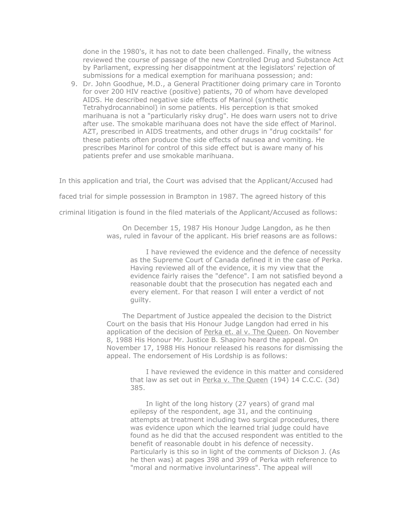done in the 1980's, it has not to date been challenged. Finally, the witness reviewed the course of passage of the new Controlled Drug and Substance Act by Parliament, expressing her disappointment at the legislators' rejection of submissions for a medical exemption for marihuana possession; and:

9. Dr. John Goodhue, M.D., a General Practitioner doing primary care in Toronto for over 200 HIV reactive (positive) patients, 70 of whom have developed AIDS. He described negative side effects of Marinol (synthetic Tetrahydrocannabinol) in some patients. His perception is that smoked marihuana is not a "particularly risky drug". He does warn users not to drive after use. The smokable marihuana does not have the side effect of Marinol. AZT, prescribed in AIDS treatments, and other drugs in "drug cocktails" for these patients often produce the side effects of nausea and vomiting. He prescribes Marinol for control of this side effect but is aware many of his patients prefer and use smokable marihuana.

In this application and trial, the Court was advised that the Applicant/Accused had

faced trial for simple possession in Brampton in 1987. The agreed history of this

criminal litigation is found in the filed materials of the Applicant/Accused as follows:

On December 15, 1987 His Honour Judge Langdon, as he then was, ruled in favour of the applicant. His brief reasons are as follows:

> I have reviewed the evidence and the defence of necessity as the Supreme Court of Canada defined it in the case of Perka. Having reviewed all of the evidence, it is my view that the evidence fairly raises the "defence". I am not satisfied beyond a reasonable doubt that the prosecution has negated each and every element. For that reason I will enter a verdict of not guilty.

The Department of Justice appealed the decision to the District Court on the basis that His Honour Judge Langdon had erred in his application of the decision of Perka et. al v. The Queen. On November 8, 1988 His Honour Mr. Justice B. Shapiro heard the appeal. On November 17, 1988 His Honour released his reasons for dismissing the appeal. The endorsement of His Lordship is as follows:

I have reviewed the evidence in this matter and considered that law as set out in Perka v. The Queen (194) 14 C.C.C. (3d) 385.

In light of the long history (27 years) of grand mal epilepsy of the respondent, age 31, and the continuing attempts at treatment including two surgical procedures, there was evidence upon which the learned trial judge could have found as he did that the accused respondent was entitled to the benefit of reasonable doubt in his defence of necessity. Particularly is this so in light of the comments of Dickson J. (As he then was) at pages 398 and 399 of Perka with reference to "moral and normative involuntariness". The appeal will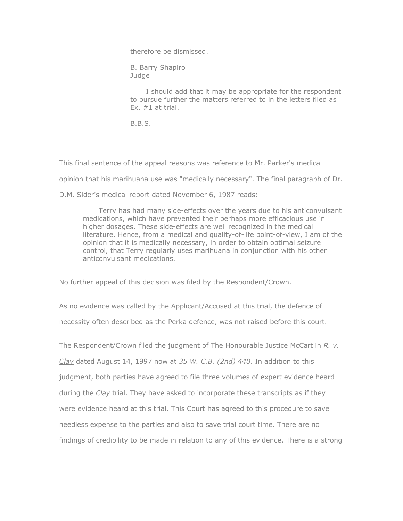therefore be dismissed.

B. Barry Shapiro Judge

I should add that it may be appropriate for the respondent to pursue further the matters referred to in the letters filed as Ex.  $#1$  at trial.

B.B.S.

This final sentence of the appeal reasons was reference to Mr. Parker's medical

opinion that his marihuana use was "medically necessary". The final paragraph of Dr.

D.M. Sider's medical report dated November 6, 1987 reads:

Terry has had many side-effects over the years due to his anticonvulsant medications, which have prevented their perhaps more efficacious use in higher dosages. These side-effects are well recognized in the medical literature. Hence, from a medical and quality-of-life point-of-view, I am of the opinion that it is medically necessary, in order to obtain optimal seizure control, that Terry regularly uses marihuana in conjunction with his other anticonvulsant medications.

No further appeal of this decision was filed by the Respondent/Crown.

As no evidence was called by the Applicant/Accused at this trial, the defence of necessity often described as the Perka defence, was not raised before this court.

The Respondent/Crown filed the judgment of The Honourable Justice McCart in *R. v. Clay* dated August 14, 1997 now at *35 W. C.B. (2nd) 440*. In addition to this judgment, both parties have agreed to file three volumes of expert evidence heard during the *Clay* trial. They have asked to incorporate these transcripts as if they were evidence heard at this trial. This Court has agreed to this procedure to save needless expense to the parties and also to save trial court time. There are no findings of credibility to be made in relation to any of this evidence. There is a strong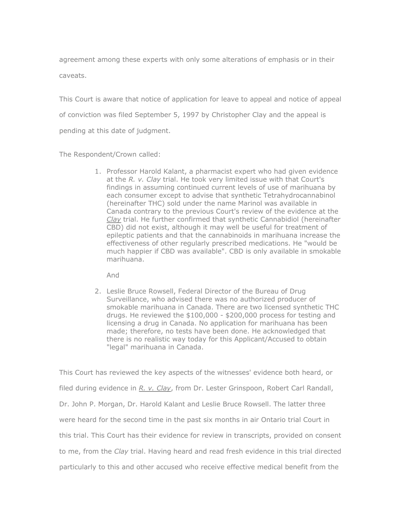agreement among these experts with only some alterations of emphasis or in their caveats.

This Court is aware that notice of application for leave to appeal and notice of appeal of conviction was filed September 5, 1997 by Christopher Clay and the appeal is pending at this date of judgment.

The Respondent/Crown called:

1. Professor Harold Kalant, a pharmacist expert who had given evidence at the *R. v. Clay* trial. He took very limited issue with that Court's findings in assuming continued current levels of use of marihuana by each consumer except to advise that synthetic Tetrahydrocannabinol (hereinafter THC) sold under the name Marinol was available in Canada contrary to the previous Court's review of the evidence at the *Clay* trial. He further confirmed that synthetic Cannabidiol (hereinafter CBD) did not exist, although it may well be useful for treatment of epileptic patients and that the cannabinoids in marihuana increase the effectiveness of other regularly prescribed medications. He "would be much happier if CBD was available". CBD is only available in smokable marihuana.

And

2. Leslie Bruce Rowsell, Federal Director of the Bureau of Drug Surveillance, who advised there was no authorized producer of smokable marihuana in Canada. There are two licensed synthetic THC drugs. He reviewed the \$100,000 - \$200,000 process for testing and licensing a drug in Canada. No application for marihuana has been made; therefore, no tests have been done. He acknowledged that there is no realistic way today for this Applicant/Accused to obtain "legal" marihuana in Canada.

This Court has reviewed the key aspects of the witnesses' evidence both heard, or filed during evidence in *R. v. Clay*, from Dr. Lester Grinspoon, Robert Carl Randall, Dr. John P. Morgan, Dr. Harold Kalant and Leslie Bruce Rowsell. The latter three were heard for the second time in the past six months in air Ontario trial Court in this trial. This Court has their evidence for review in transcripts, provided on consent to me, from the *Clay* trial. Having heard and read fresh evidence in this trial directed particularly to this and other accused who receive effective medical benefit from the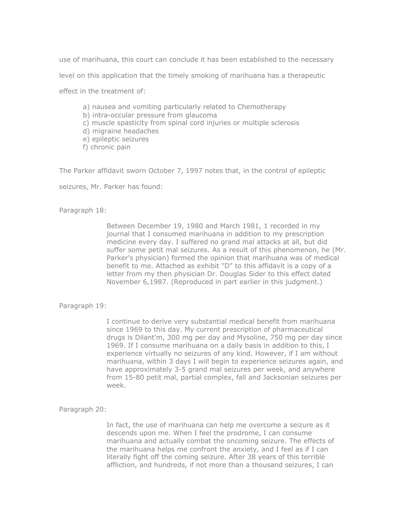use of marihuana, this court can conclude it has been established to the necessary

level on this application that the timely smoking of marihuana has a therapeutic

effect in the treatment of:

- a) nausea and vomiting particularly related to Chemotherapy
- b) intra-occular pressure from glaucoma
- c) muscle spasticity from spinal cord injuries or multiple sclerosis
- d) migraine headaches
- e) epileptic seizures
- f) chronic pain

The Parker affidavit sworn October 7, 1997 notes that, in the control of epileptic

seizures, Mr. Parker has found:

Paragraph 18:

Between December 19, 1980 and March 1981, 1 recorded in my journal that I consumed marihuana in addition to my prescription medicine every day. I suffered no grand mal attacks at all, but did suffer some petit mal seizures. As a result of this phenomenon, he (Mr. Parker's physician) formed the opinion that marihuana was of medical benefit to me. Attached as exhibit "D" to this affidavit is a copy of a letter from my then physician Dr. Douglas Sider to this effect dated November 6,1987. (Reproduced in part earlier in this judgment.)

Paragraph 19:

I continue to derive very substantial medical benefit from marihuana since 1969 to this day. My current prescription of pharmaceutical drugs is Dilant'm, 300 mg per day and Mysoline, 750 mg per day since 1969. If I consume marihuana on a daily basis in addition to this, I experience virtually no seizures of any kind. However, if I am without marihuana, within 3 days I will begin to experience seizures again, and have approximately 3-5 grand mal seizures per week, and anywhere from 15-80 petit mal, partial complex, fall and Jacksonian seizures per week.

Paragraph 20:

In fact, the use of marihuana can help me overcome a seizure as it descends upon me. When I feel the prodrome, I can consume marihuana and actually combat the oncoming seizure. The effects of the marihuana helps me confront the anxiety, and I feel as if I can literally fight off the coming seizure. After 38 years of this terrible affliction, and hundreds, if not more than a thousand seizures, I can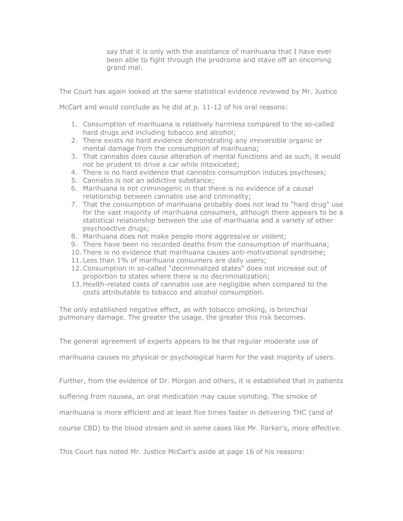say that it is only with the assistance of marihuana that I have ever been able to fight through the prodrome and stave off an oncoming grand mal.

The Court has again looked at the same statistical evidence reviewed by Mr. Justice

McCart and would conclude as he did at p. 11-12 of his oral reasons:

- 1. Consumption of marihuana is relatively harmless compared to the so-called hard drugs and including tobacco and alcohol;
- 2. There exists no hard evidence demonstrating any irreversible organic or mental damage from the consumption of marihuana;
- 3. That cannabis does cause alteration of mental functions and as such, it would not be prudent to drive a car while intoxicated;
- 4. There is no hard evidence that cannabis consumption induces psychoses;
- 5. Cannabis is not an addictive substance;
- 6. Marihuana is not criminogenic in that there is no evidence of a causal relationship between cannabis use and criminality;
- 7. That the consumption of marihuana probably does not lead to "hard drug" use for the vast majority of marihuana consumers, although there appears to be a statistical relationship between the use of marihuana and a variety of other psychoactive drugs;
- 8. Marihuana does not make people more aggressive or violent;
- 9. There have been no recorded deaths from the consumption of marihuana;
- 10.There is no evidence that marihuana causes anti-motivational syndrome;
- 11.Less than 1% of marihuana consumers are daily users;
- 12.Consumption in so-called "decriminalized states" does not increase out of proportion to states where there is no decriminalization;
- 13.Health-related costs of cannabis use are negligible when compared to the costs attributable to tobacco and alcohol consumption.

The only established negative effect, as with tobacco smoking, is bronchial pulmonary damage. The greater the usage, the greater this risk becomes.

The general agreement of experts appears to be that regular moderate use of

marihuana causes no physical or psychological harm for the vast majority of users.

Further, from the evidence of Dr. Morgan and others, it is established that in patients

suffering from nausea, an oral medication may cause vomiting. The smoke of

marihuana is more efficient and at least five times faster in delivering THC (and of

course CBD) to the blood stream and in some cases like Mr. Parker's, more effective.

This Court has noted Mr. Justice McCart's aside at page 16 of his reasons: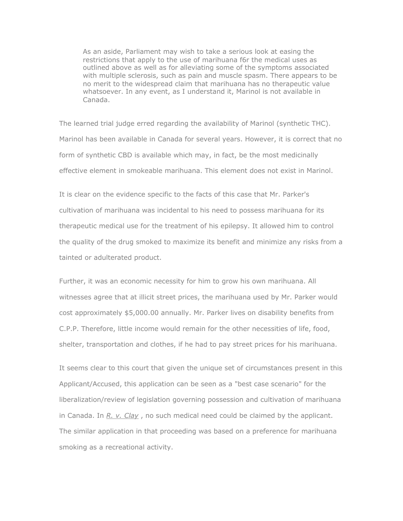As an aside, Parliament may wish to take a serious look at easing the restrictions that apply to the use of marihuana f6r the medical uses as outlined above as well as for alleviating some of the symptoms associated with multiple sclerosis, such as pain and muscle spasm. There appears to be no merit to the widespread claim that marihuana has no therapeutic value whatsoever. In any event, as I understand it, Marinol is not available in Canada.

The learned trial judge erred regarding the availability of Marinol (synthetic THC). Marinol has been available in Canada for several years. However, it is correct that no form of synthetic CBD is available which may, in fact, be the most medicinally effective element in smokeable marihuana. This element does not exist in Marinol.

It is clear on the evidence specific to the facts of this case that Mr. Parker's cultivation of marihuana was incidental to his need to possess marihuana for its therapeutic medical use for the treatment of his epilepsy. It allowed him to control the quality of the drug smoked to maximize its benefit and minimize any risks from a tainted or adulterated product.

Further, it was an economic necessity for him to grow his own marihuana. All witnesses agree that at illicit street prices, the marihuana used by Mr. Parker would cost approximately \$5,000.00 annually. Mr. Parker lives on disability benefits from C.P.P. Therefore, little income would remain for the other necessities of life, food, shelter, transportation and clothes, if he had to pay street prices for his marihuana.

It seems clear to this court that given the unique set of circumstances present in this Applicant/Accused, this application can be seen as a "best case scenario" for the liberalization/review of legislation governing possession and cultivation of marihuana in Canada. In *R. v. Clay* , no such medical need could be claimed by the applicant. The similar application in that proceeding was based on a preference for marihuana smoking as a recreational activity.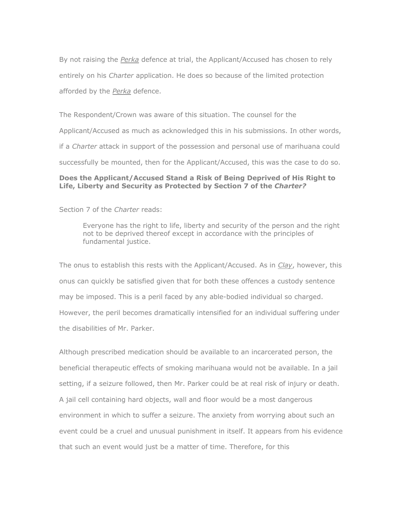By not raising the *Perka* defence at trial, the Applicant/Accused has chosen to rely entirely on his *Charter* application. He does so because of the limited protection afforded by the *Perka* defence.

The Respondent/Crown was aware of this situation. The counsel for the Applicant/Accused as much as acknowledged this in his submissions. In other words, if a *Charter* attack in support of the possession and personal use of marihuana could successfully be mounted, then for the Applicant/Accused, this was the case to do so.

## **Does the Applicant/Accused Stand a Risk of Being Deprived of His Right to Life, Liberty and Security as Protected by Section 7 of the** *Charter?*

Section 7 of the *Charter* reads:

Everyone has the right to life, liberty and security of the person and the right not to be deprived thereof except in accordance with the principles of fundamental justice.

The onus to establish this rests with the Applicant/Accused. As in *Clay*, however, this onus can quickly be satisfied given that for both these offences a custody sentence may be imposed. This is a peril faced by any able-bodied individual so charged. However, the peril becomes dramatically intensified for an individual suffering under the disabilities of Mr. Parker.

Although prescribed medication should be available to an incarcerated person, the beneficial therapeutic effects of smoking marihuana would not be available. In a jail setting, if a seizure followed, then Mr. Parker could be at real risk of injury or death. A jail cell containing hard objects, wall and floor would be a most dangerous environment in which to suffer a seizure. The anxiety from worrying about such an event could be a cruel and unusual punishment in itself. It appears from his evidence that such an event would just be a matter of time. Therefore, for this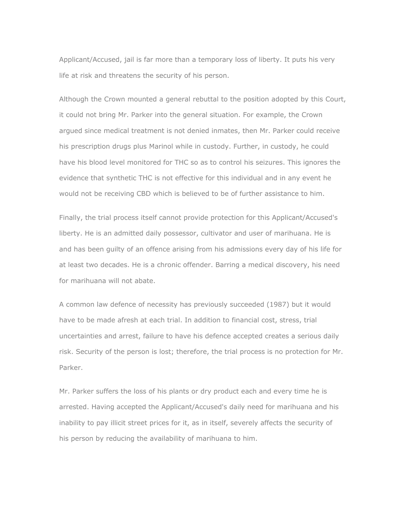Applicant/Accused, jail is far more than a temporary loss of liberty. It puts his very life at risk and threatens the security of his person.

Although the Crown mounted a general rebuttal to the position adopted by this Court, it could not bring Mr. Parker into the general situation. For example, the Crown argued since medical treatment is not denied inmates, then Mr. Parker could receive his prescription drugs plus Marinol while in custody. Further, in custody, he could have his blood level monitored for THC so as to control his seizures. This ignores the evidence that synthetic THC is not effective for this individual and in any event he would not be receiving CBD which is believed to be of further assistance to him.

Finally, the trial process itself cannot provide protection for this Applicant/Accused's liberty. He is an admitted daily possessor, cultivator and user of marihuana. He is and has been guilty of an offence arising from his admissions every day of his life for at least two decades. He is a chronic offender. Barring a medical discovery, his need for marihuana will not abate.

A common law defence of necessity has previously succeeded (1987) but it would have to be made afresh at each trial. In addition to financial cost, stress, trial uncertainties and arrest, failure to have his defence accepted creates a serious daily risk. Security of the person is lost; therefore, the trial process is no protection for Mr. Parker.

Mr. Parker suffers the loss of his plants or dry product each and every time he is arrested. Having accepted the Applicant/Accused's daily need for marihuana and his inability to pay illicit street prices for it, as in itself, severely affects the security of his person by reducing the availability of marihuana to him.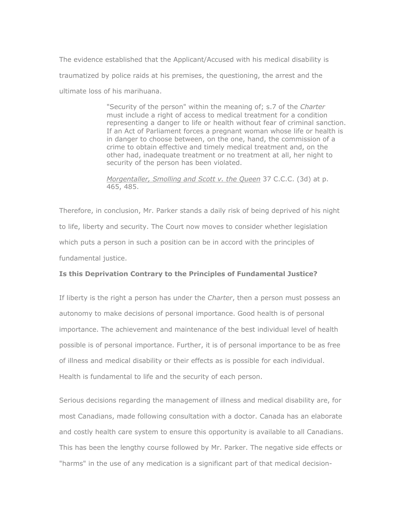The evidence established that the Applicant/Accused with his medical disability is traumatized by police raids at his premises, the questioning, the arrest and the ultimate loss of his marihuana.

> "Security of the person" within the meaning of; s.7 of the *Charter* must include a right of access to medical treatment for a condition representing a danger to life or health without fear of criminal sanction. If an Act of Parliament forces a pregnant woman whose life or health is in danger to choose between, on the one, hand, the commission of a crime to obtain effective and timely medical treatment and, on the other had, inadequate treatment or no treatment at all, her night to security of the person has been violated.

*Morgentaller, Smolling and Scott v. the Queen* 37 C.C.C. (3d) at p. 465, 485.

Therefore, in conclusion, Mr. Parker stands a daily risk of being deprived of his night to life, liberty and security. The Court now moves to consider whether legislation which puts a person in such a position can be in accord with the principles of fundamental justice.

#### **Is this Deprivation Contrary to the Principles of Fundamental Justice?**

If liberty is the right a person has under the *Charter*, then a person must possess an autonomy to make decisions of personal importance. Good health is of personal importance. The achievement and maintenance of the best individual level of health possible is of personal importance. Further, it is of personal importance to be as free of illness and medical disability or their effects as is possible for each individual. Health is fundamental to life and the security of each person.

Serious decisions regarding the management of illness and medical disability are, for most Canadians, made following consultation with a doctor. Canada has an elaborate and costly health care system to ensure this opportunity is available to all Canadians. This has been the lengthy course followed by Mr. Parker. The negative side effects or "harms" in the use of any medication is a significant part of that medical decision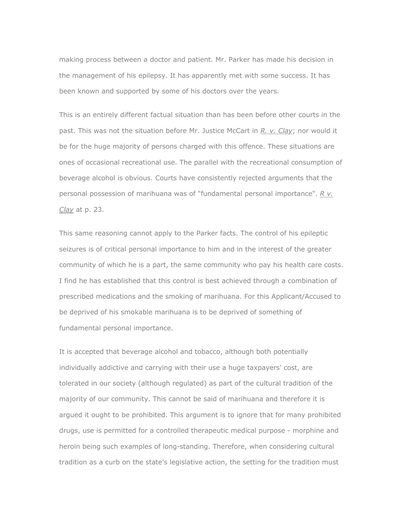making process between a doctor and patient. Mr. Parker has made his decision in the management of his epilepsy. It has apparently met with some success. It has been known and supported by some of his doctors over the years.

This is an entirely different factual situation than has been before other courts in the past. This was not the situation before Mr. Justice McCart in *R. v. Clay*; nor would it be for the huge majority of persons charged with this offence. These situations are ones of occasional recreational use. The parallel with the recreational consumption of beverage alcohol is obvious. Courts have consistently rejected arguments that the personal possession of marihuana was of "fundamental personal importance". *R v. Clay* at p. 23.

This same reasoning cannot apply to the Parker facts. The control of his epileptic seizures is of critical personal importance to him and in the interest of the greater community of which he is a part, the same community who pay his health care costs. I find he has established that this control is best achieved through a combination of prescribed medications and the smoking of marihuana. For this Applicant/Accused to be deprived of his smokable marihuana is to be deprived of something of fundamental personal importance.

It is accepted that beverage alcohol and tobacco, although both potentially individually addictive and carrying with their use a huge taxpayers' cost, are tolerated in our society (although regulated) as part of the cultural tradition of the majority of our community. This cannot be said of marihuana and therefore it is argued it ought to be prohibited. This argument is to ignore that for many prohibited drugs, use is permitted for a controlled therapeutic medical purpose - morphine and heroin being such examples of long-standing. Therefore, when considering cultural tradition as a curb on the state's legislative action, the setting for the tradition must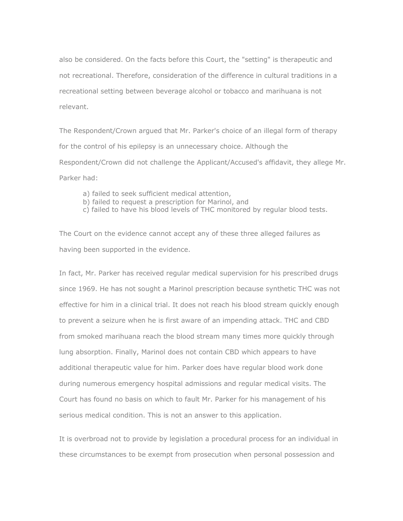also be considered. On the facts before this Court, the "setting" is therapeutic and not recreational. Therefore, consideration of the difference in cultural traditions in a recreational setting between beverage alcohol or tobacco and marihuana is not relevant.

The Respondent/Crown argued that Mr. Parker's choice of an illegal form of therapy for the control of his epilepsy is an unnecessary choice. Although the Respondent/Crown did not challenge the Applicant/Accused's affidavit, they allege Mr. Parker had:

- a) failed to seek sufficient medical attention,
- b) failed to request a prescription for Marinol, and
- c) failed to have his blood levels of THC monitored by regular blood tests.

The Court on the evidence cannot accept any of these three alleged failures as having been supported in the evidence.

In fact, Mr. Parker has received regular medical supervision for his prescribed drugs since 1969. He has not sought a Marinol prescription because synthetic THC was not effective for him in a clinical trial. It does not reach his blood stream quickly enough to prevent a seizure when he is first aware of an impending attack. THC and CBD from smoked marihuana reach the blood stream many times more quickly through lung absorption. Finally, Marinol does not contain CBD which appears to have additional therapeutic value for him. Parker does have regular blood work done during numerous emergency hospital admissions and regular medical visits. The Court has found no basis on which to fault Mr. Parker for his management of his serious medical condition. This is not an answer to this application.

It is overbroad not to provide by legislation a procedural process for an individual in these circumstances to be exempt from prosecution when personal possession and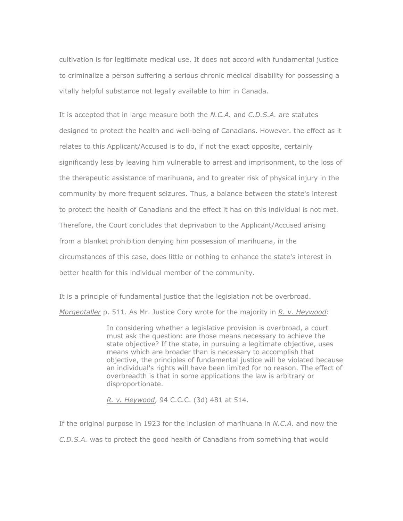cultivation is for legitimate medical use. It does not accord with fundamental justice to criminalize a person suffering a serious chronic medical disability for possessing a vitally helpful substance not legally available to him in Canada.

It is accepted that in large measure both the *N.C.A.* and *C.D.S.A.* are statutes designed to protect the health and well-being of Canadians. However. the effect as it relates to this Applicant/Accused is to do, if not the exact opposite, certainly significantly less by leaving him vulnerable to arrest and imprisonment, to the loss of the therapeutic assistance of marihuana, and to greater risk of physical injury in the community by more frequent seizures. Thus, a balance between the state's interest to protect the health of Canadians and the effect it has on this individual is not met. Therefore, the Court concludes that deprivation to the Applicant/Accused arising from a blanket prohibition denying him possession of marihuana, in the circumstances of this case, does little or nothing to enhance the state's interest in better health for this individual member of the community.

It is a principle of fundamental justice that the legislation not be overbroad.

*Morgentaller* p. 511. As Mr. Justice Cory wrote for the majority in *R. v. Heywood*:

In considering whether a legislative provision is overbroad, a court must ask the question: are those means necessary to achieve the state objective? If the state, in pursuing a legitimate objective, uses means which are broader than is necessary to accomplish that objective, the principles of fundamental justice will be violated because an individual's rights will have been limited for no reason. The effect of overbreadth is that in some applications the law is arbitrary or disproportionate.

*R. v. Heywood*, 94 C.C.C. (3d) 481 at 514.

If the original purpose in 1923 for the inclusion of marihuana in *N.C.A.* and now the *C.D.S.A.* was to protect the good health of Canadians from something that would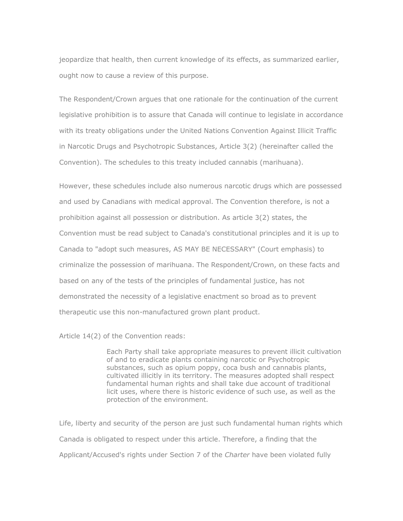jeopardize that health, then current knowledge of its effects, as summarized earlier, ought now to cause a review of this purpose.

The Respondent/Crown argues that one rationale for the continuation of the current legislative prohibition is to assure that Canada will continue to legislate in accordance with its treaty obligations under the United Nations Convention Against Illicit Traffic in Narcotic Drugs and Psychotropic Substances, Article 3(2) (hereinafter called the Convention). The schedules to this treaty included cannabis (marihuana).

However, these schedules include also numerous narcotic drugs which are possessed and used by Canadians with medical approval. The Convention therefore, is not a prohibition against all possession or distribution. As article 3(2) states, the Convention must be read subject to Canada's constitutional principles and it is up to Canada to "adopt such measures, AS MAY BE NECESSARY" (Court emphasis) to criminalize the possession of marihuana. The Respondent/Crown, on these facts and based on any of the tests of the principles of fundamental justice, has not demonstrated the necessity of a legislative enactment so broad as to prevent therapeutic use this non-manufactured grown plant product.

Article 14(2) of the Convention reads:

Each Party shall take appropriate measures to prevent illicit cultivation of and to eradicate plants containing narcotic or Psychotropic substances, such as opium poppy, coca bush and cannabis plants, cultivated illicitly in its territory. The measures adopted shall respect fundamental human rights and shall take due account of traditional licit uses, where there is historic evidence of such use, as well as the protection of the environment.

Life, liberty and security of the person are just such fundamental human rights which Canada is obligated to respect under this article. Therefore, a finding that the Applicant/Accused's rights under Section 7 of the *Charter* have been violated fully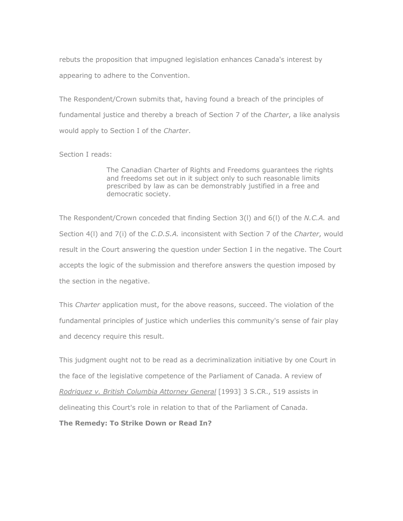rebuts the proposition that impugned legislation enhances Canada's interest by appearing to adhere to the Convention.

The Respondent/Crown submits that, having found a breach of the principles of fundamental justice and thereby a breach of Section 7 of the *Charter*, a like analysis would apply to Section I of the *Charter*.

## Section I reads:

The Canadian Charter of Rights and Freedoms guarantees the rights and freedoms set out in it subject only to such reasonable limits prescribed by law as can be demonstrably justified in a free and democratic society.

The Respondent/Crown conceded that finding Section 3(l) and 6(l) of the *N.C.A.* and Section 4(l) and 7(i) of the *C.D.S.A.* inconsistent with Section 7 of the *Charter*, would result in the Court answering the question under Section I in the negative. The Court accepts the logic of the submission and therefore answers the question imposed by the section in the negative.

This *Charter* application must, for the above reasons, succeed. The violation of the fundamental principles of justice which underlies this community's sense of fair play and decency require this result.

This judgment ought not to be read as a decriminalization initiative by one Court in the face of the legislative competence of the Parliament of Canada. A review of *Rodriguez v. British Columbia Attorney General* [1993] 3 S.CR., 519 assists in delineating this Court's role in relation to that of the Parliament of Canada.

**The Remedy: To Strike Down or Read In?**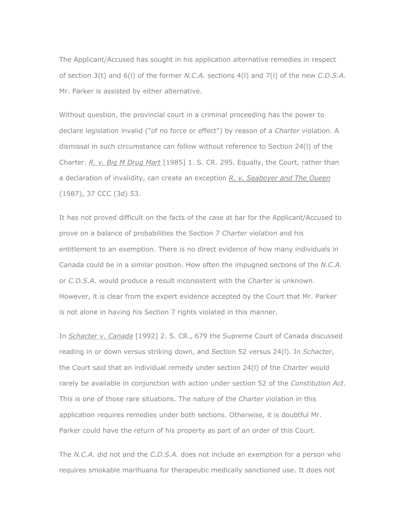The Applicant/Accused has sought in his application alternative remedies in respect of section 3(t) and 6(l) of the former *N.C.A.* sections 4(l) and 7(l) of the new *C.D.S.A.* Mr. Parker is assisted by either alternative.

Without question, the provincial court in a criminal proceeding has the power to declare legislation invalid ("of no force or effect") by reason of a *Charter* violation. A dismissal in such circumstance can follow without reference to Section 24(l) of the Charter. *R. v. Big M Drug Mart* [1985] 1. S. CR. 295. Equally, the Court, rather than a declaration of invalidity, can create an exception *R. v. Seaboyer and The Oueen* (1987), 37 CCC (3d) 53.

It has not proved difficult on the facts of the case at bar for the Applicant/Accused to prove on a balance of probabilities the Section 7 *Charter* violation and his entitlement to an exemption. There is no direct evidence of how many individuals in Canada could be in a similar position. How often the impugned sections of the *N.C.A.* or *C.D.S.A.* would produce a result inconsistent with the *Charter* is unknown. However, it is clear from the expert evidence accepted by the Court that Mr. Parker is not alone in having his Section 7 rights violated in this manner.

In *Schacter v. Canada* [1992] 2. S. CR., 679 the Supreme Court of Canada discussed reading in or down versus striking down, and Section 52 versus 24(l). In *Schacter*, the Court said that an individual remedy under section 24(l) of the *Charter* would rarely be available in conjunction with action under section 52 of the *Constitution Act*. This is one of those rare situations. The nature of the *Charter* violation in this application requires remedies under both sections. Otherwise, it is doubtful Mr. Parker could have the return of his property as part of an order of this Court.

The *N.C.A.* did not and the *C.D.S.A.* does not include an exemption for a person who requires smokable marihuana for therapeutic medically sanctioned use. It does not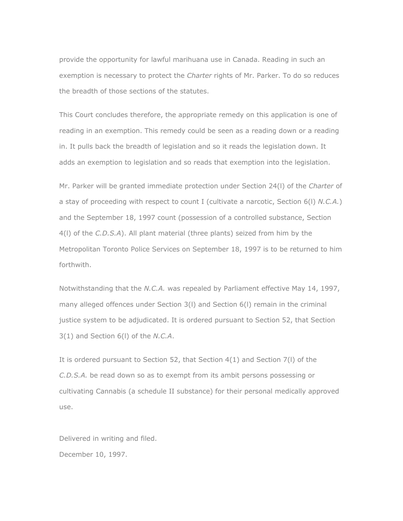provide the opportunity for lawful marihuana use in Canada. Reading in such an exemption is necessary to protect the *Charter* rights of Mr. Parker. To do so reduces the breadth of those sections of the statutes.

This Court concludes therefore, the appropriate remedy on this application is one of reading in an exemption. This remedy could be seen as a reading down or a reading in. It pulls back the breadth of legislation and so it reads the legislation down. It adds an exemption to legislation and so reads that exemption into the legislation.

Mr. Parker will be granted immediate protection under Section 24(l) of the *Charter* of a stay of proceeding with respect to count I (cultivate a narcotic, Section 6(l) *N.C.A.*) and the September 18, 1997 count (possession of a controlled substance, Section 4(l) of the *C.D.S.A*). All plant material (three plants) seized from him by the Metropolitan Toronto Police Services on September 18, 1997 is to be returned to him forthwith.

Notwithstanding that the *N.C.A.* was repealed by Parliament effective May 14, 1997, many alleged offences under Section 3(l) and Section 6(l) remain in the criminal justice system to be adjudicated. It is ordered pursuant to Section 52, that Section 3(1) and Section 6(l) of the *N.C.A*.

It is ordered pursuant to Section 52, that Section 4(1) and Section 7(l) of the *C.D.S.A.* be read down so as to exempt from its ambit persons possessing or cultivating Cannabis (a schedule II substance) for their personal medically approved use.

Delivered in writing and filed. December 10, 1997.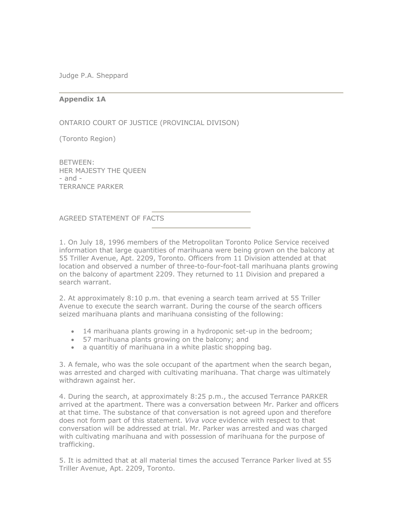Judge P.A. Sheppard

## **Appendix 1A**

ONTARIO COURT OF JUSTICE (PROVINCIAL DIVISON)

(Toronto Region)

BETWEEN: HER MAJESTY THE QUEEN - and - TERRANCE PARKER

AGREED STATEMENT OF FACTS

1. On July 18, 1996 members of the Metropolitan Toronto Police Service received information that large quantities of marihuana were being grown on the balcony at 55 Triller Avenue, Apt. 2209, Toronto. Officers from 11 Division attended at that location and observed a number of three-to-four-foot-tall marihuana plants growing on the balcony of apartment 2209. They returned to 11 Division and prepared a search warrant.

2. At approximately 8:10 p.m. that evening a search team arrived at 55 Triller Avenue to execute the search warrant. During the course of the search officers seized marihuana plants and marihuana consisting of the following:

- · 14 marihuana plants growing in a hydroponic set-up in the bedroom;
- · 57 marihuana plants growing on the balcony; and
- · a quantitiy of marihuana in a white plastic shopping bag.

3. A female, who was the sole occupant of the apartment when the search began, was arrested and charged with cultivating marihuana. That charge was ultimately withdrawn against her.

4. During the search, at approximately 8:25 p.m., the accused Terrance PARKER arrived at the apartment. There was a conversation between Mr. Parker and officers at that time. The substance of that conversation is not agreed upon and therefore does not form part of this statement. *Viva voce* evidence with respect to that conversation will be addressed at trial. Mr. Parker was arrested and was charged with cultivating marihuana and with possession of marihuana for the purpose of trafficking.

5. It is admitted that at all material times the accused Terrance Parker lived at 55 Triller Avenue, Apt. 2209, Toronto.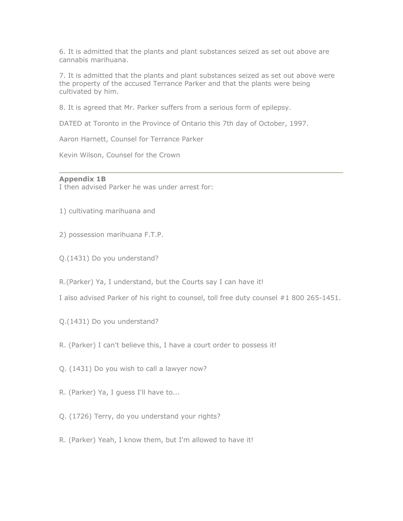6. It is admitted that the plants and plant substances seized as set out above are cannabis marihuana.

7. It is admitted that the plants and plant substances seized as set out above were the property of the accused Terrance Parker and that the plants were being cultivated by him.

8. It is agreed that Mr. Parker suffers from a serious form of epilepsy.

DATED at Toronto in the Province of Ontario this 7th day of October, 1997.

Aaron Harnett, Counsel for Terrance Parker

Kevin Wilson, Counsel for the Crown

#### **Appendix 1B**

I then advised Parker he was under arrest for:

1) cultivating marihuana and

- 2) possession marihuana F.T.P.
- Q.(1431) Do you understand?

R.(Parker) Ya, I understand, but the Courts say I can have it!

I also advised Parker of his right to counsel, toll free duty counsel #1 800 265-1451.

- Q.(1431) Do you understand?
- R. (Parker) I can't believe this, I have a court order to possess it!
- Q. (1431) Do you wish to call a lawyer now?
- R. (Parker) Ya, I guess I'll have to...
- Q. (1726) Terry, do you understand your rights?
- R. (Parker) Yeah, I know them, but I'm allowed to have it!